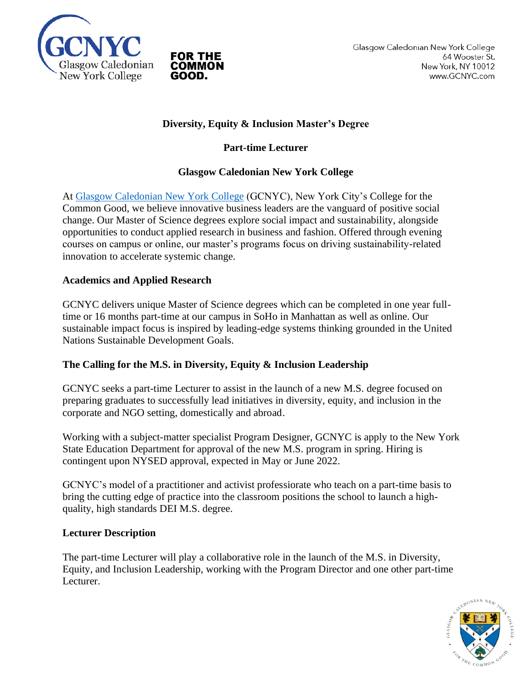

## **Diversity, Equity & Inclusion Master's Degree**

## **Part-time Lecturer**

### **Glasgow Caledonian New York College**

At [Glasgow Caledonian New York College](https://www.gcnyc.com/) (GCNYC), New York City's College for the Common Good, we believe innovative business leaders are the vanguard of positive social change. Our Master of Science degrees explore social impact and sustainability, alongside opportunities to conduct applied research in business and fashion. Offered through evening courses on campus or online, our master's programs focus on driving sustainability-related innovation to accelerate systemic change.

### **Academics and Applied Research**

GCNYC delivers unique Master of Science degrees which can be completed in one year fulltime or 16 months part-time at our campus in SoHo in Manhattan as well as online. Our sustainable impact focus is inspired by leading-edge systems thinking grounded in the United Nations Sustainable Development Goals.

#### **The Calling for the M.S. in Diversity, Equity & Inclusion Leadership**

GCNYC seeks a part-time Lecturer to assist in the launch of a new M.S. degree focused on preparing graduates to successfully lead initiatives in diversity, equity, and inclusion in the corporate and NGO setting, domestically and abroad.

Working with a subject-matter specialist Program Designer, GCNYC is apply to the New York State Education Department for approval of the new M.S. program in spring. Hiring is contingent upon NYSED approval, expected in May or June 2022.

GCNYC's model of a practitioner and activist professiorate who teach on a part-time basis to bring the cutting edge of practice into the classroom positions the school to launch a highquality, high standards DEI M.S. degree.

#### **Lecturer Description**

The part-time Lecturer will play a collaborative role in the launch of the M.S. in Diversity, Equity, and Inclusion Leadership, working with the Program Director and one other part-time Lecturer.